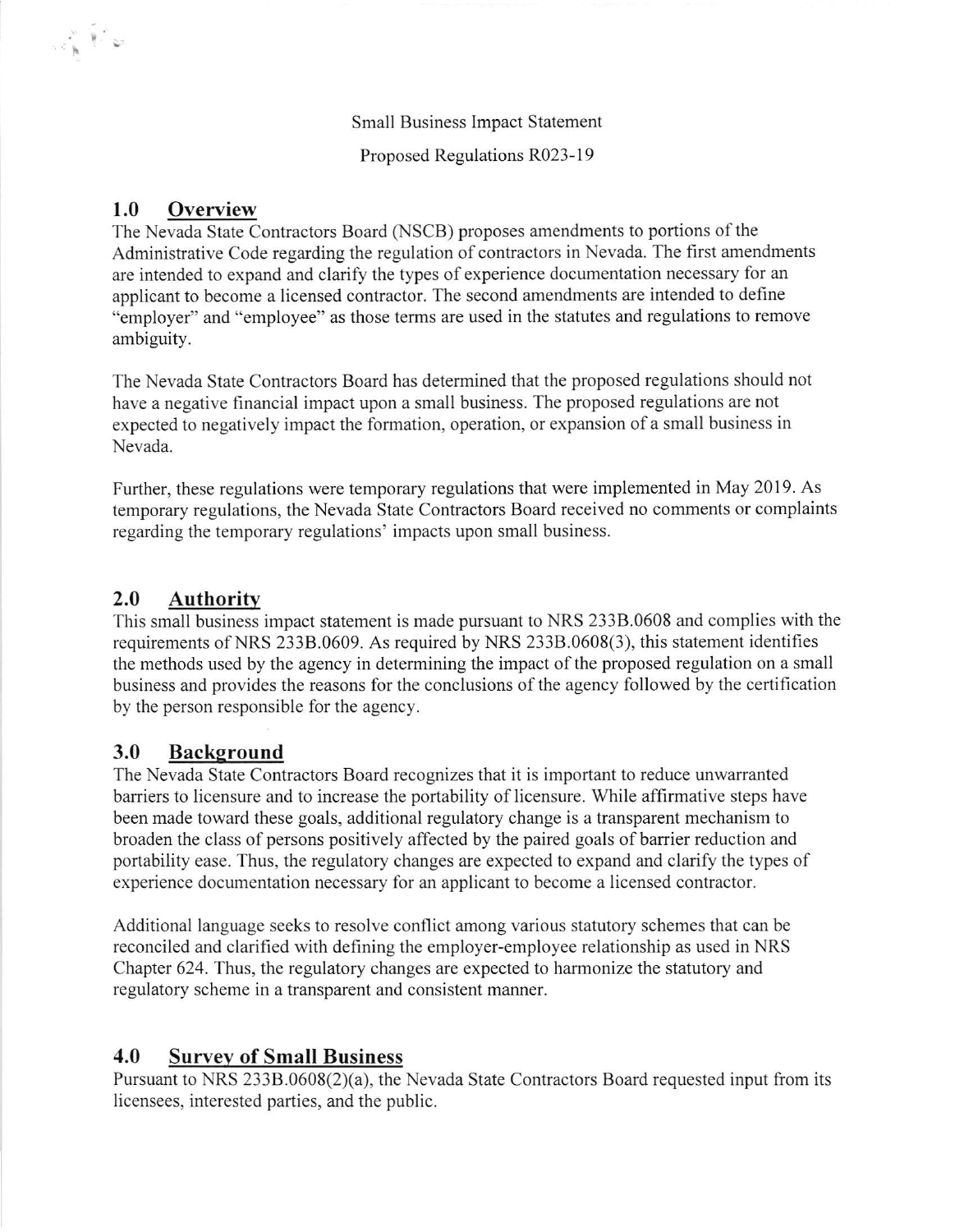Small Business Impact Statement

Proposed Regulations R023-19

## 1.0 Overview

 $\mathbb{R}^{\mathbb{N}}$   $\mathbb{R}^{\mathbb{N}}$ 

The Nevada State Contractors Board (NSCB) proposes amendments to portions of the Administrative Code regarding the regulation of contractors in Nevada. The first amendments are intended to expand and clarify the types of experience documentation necessary for an applicant to become a licensed contractor. The second amendments are intended to define "employer" and "employee" as those terms are used in the statutes and regulations to remove ambiguity.

The Nevada State Contractors Board has determined that the proposed regulations should not have a negative financial impact upon a small business. The proposed regulations are not expected to negatively impact the formation, operation, or expansion of a small business in Nevada.

Further, these regulations were temporary regulations that were implemented in May 2019. As temporary regulations, the Nevada State Contractors Board received no comments or complaints regarding the temporary regulations' impacts upon small business.

## 2.0 Authority

This small business impact statement is made pursuant to NRS 2338.0608 and complies with the requirements of NRS 2338.0609. As required by NRS 2338.0608(3), this statement identifies the methods used by the agency in determining the impact of the proposed regulation on a small business and provides the reasons for the conclusions of the agency followed by the certification by the person responsible for the agency.

## 3.0 Background

The Nevada State Contractors Board recognizes that it is important to reduce unwarranted barriers to licensure and to increase the portability of licensure. While affirmative steps have been made toward these goals, additional regulatory change is a transparent mechanism to broaden the class of persons positively affected by the paired goals of barrier reduction and portability ease. Thus, the regulatory changes are expected to expand and clarify the types of experience documentation necessary for an applicant to become a licensed contractor.

Additional language seeks to resolve conflict among various statutory schemes that can be reconciled and clarified with defining the employer-employee relationship as used in NRS Chapter 624. Thus, the regulatory changes are expected to harmonize the statutory and regulatory scheme in a transparent and consistent manner.

## 4.0 Survey of Small Business

Pursuant to NRS 233B.0608(2)(a), the Nevada State Contractors Board requested input from its licensees, interested parties, and the public.